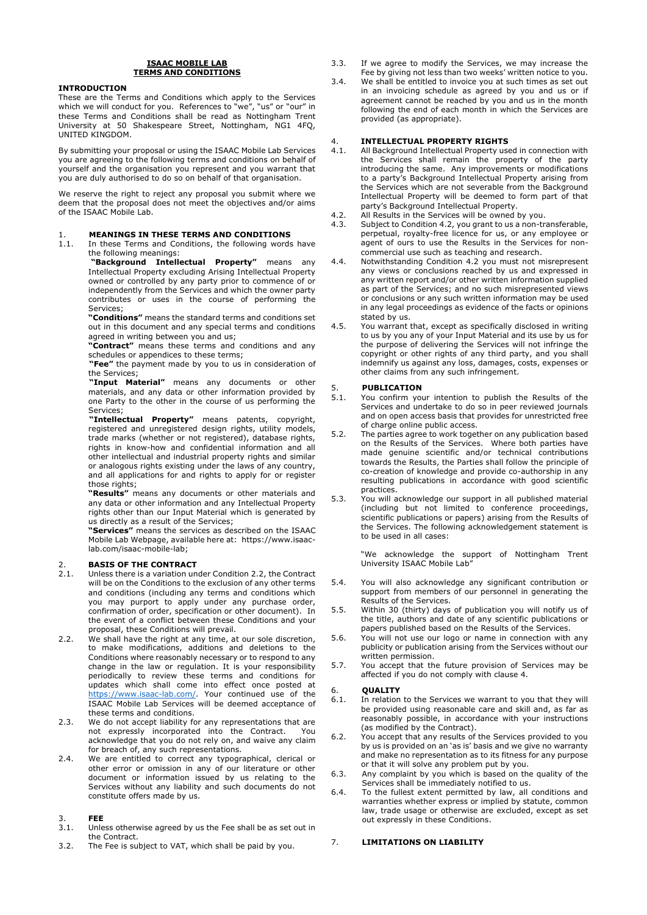### **ISAAC MOBILE LAB TERMS AND CONDITIONS**

### **INTRODUCTION**

These are the Terms and Conditions which apply to the Services which we will conduct for you. References to "we", "us" or "our" in these Terms and Conditions shall be read as Nottingham Trent University at 50 Shakespeare Street, Nottingham, NG1 4FQ, UNITED KINGDOM.

By submitting your proposal or using the ISAAC Mobile Lab Services you are agreeing to the following terms and conditions on behalf of yourself and the organisation you represent and you warrant that you are duly authorised to do so on behalf of that organisation.

We reserve the right to reject any proposal you submit where we deem that the proposal does not meet the objectives and/or aims of the ISAAC Mobile Lab.

# 1. **MEANINGS IN THESE TERMS AND CONDITIONS**<br>1.1. In these Terms and Conditions, the following words

In these Terms and Conditions, the following words have the following meanings:

**"Background Intellectual Property"** means any Intellectual Property excluding Arising Intellectual Property owned or controlled by any party prior to commence of or independently from the Services and which the owner party contributes or uses in the course of performing the Services;

**"Conditions"** means the standard terms and conditions set out in this document and any special terms and conditions agreed in writing between you and us;

**"Contract"** means these terms and conditions and any schedules or appendices to these terms;

**"Fee"** the payment made by you to us in consideration of the Services;

**"Input Material"** means any documents or other materials, and any data or other information provided by one Party to the other in the course of us performing the Services;

**"Intellectual Property"** means patents, copyright, registered and unregistered design rights, utility models, trade marks (whether or not registered), database rights, rights in know-how and confidential information and all other intellectual and industrial property rights and similar or analogous rights existing under the laws of any country, and all applications for and rights to apply for or register those rights;

**"Results"** means any documents or other materials and any data or other information and any Intellectual Property rights other than our Input Material which is generated by us directly as a result of the Services;

**"Services"** means the services as described on the ISAAC Mobile Lab Webpage, available here at: https://www.isaaclab.com/isaac-mobile-lab;

# 2. **BASIS OF THE CONTRACT**<br>2.1. Unless there is a variation un

- 2.1. Unless there is a variation under Condition 2.2, the Contract will be on the Conditions to the exclusion of any other terms and conditions (including any terms and conditions which you may purport to apply under any purchase order, confirmation of order, specification or other document). In the event of a conflict between these Conditions and your proposal, these Conditions will prevail.
- 2.2. We shall have the right at any time, at our sole discretion, to make modifications, additions and deletions to the Conditions where reasonably necessary or to respond to any change in the law or regulation. It is your responsibility periodically to review these terms and conditions for updates which shall come into effect once posted at https://www.isaac-lab.com/. Your continued use of the ISAAC Mobile Lab Services will be deemed acceptance of these terms and conditions.
- 2.3. We do not accept liability for any representations that are not expressly incorporated into the Contract. You acknowledge that you do not rely on, and waive any claim for breach of, any such representations.
- 2.4. We are entitled to correct any typographical, clerical or other error or omission in any of our literature or other document or information issued by us relating to the Services without any liability and such documents do not constitute offers made by us.

- 3. **FEE** Unless otherwise agreed by us the Fee shall be as set out in the Contract.
- 3.2. The Fee is subject to VAT, which shall be paid by you.
- 3.3. If we agree to modify the Services, we may increase the Fee by giving not less than two weeks' written notice to you.
- 3.4. We shall be entitled to invoice you at such times as set out in an invoicing schedule as agreed by you and us or if agreement cannot be reached by you and us in the month following the end of each month in which the Services are provided (as appropriate).

# 4. **INTELLECTUAL PROPERTY RIGHTS**

- All Background Intellectual Property used in connection with the Services shall remain the property of the party introducing the same. Any improvements or modifications to a party's Background Intellectual Property arising from the Services which are not severable from the Background Intellectual Property will be deemed to form part of that party's Background Intellectual Property.
- 4.2. All Results in the Services will be owned by you.
- 4.3. Subject to Condition 4.2, you grant to us a non-transferable, perpetual, royalty-free licence for us, or any employee or agent of ours to use the Results in the Services for noncommercial use such as teaching and research.
- 4.4. Notwithstanding Condition 4.2 you must not misrepresent any views or conclusions reached by us and expressed in any written report and/or other written information supplied as part of the Services; and no such misrepresented views or conclusions or any such written information may be used in any legal proceedings as evidence of the facts or opinions stated by us.
- 4.5. You warrant that, except as specifically disclosed in writing to us by you any of your Input Material and its use by us for the purpose of delivering the Services will not infringe the copyright or other rights of any third party, and you shall indemnify us against any loss, damages, costs, expenses or other claims from any such infringement.

# 5. **PUBLICATION**<br>5.1. You confirm yo

- 5.1. You confirm your intention to publish the Results of the Services and undertake to do so in peer reviewed journals and on open access basis that provides for unrestricted free of charge online public access.
- 5.2. The parties agree to work together on any publication based on the Results of the Services. Where both parties have made genuine scientific and/or technical contributions towards the Results, the Parties shall follow the principle of co-creation of knowledge and provide co-authorship in any resulting publications in accordance with good scientific practices.
- 5.3. You will acknowledge our support in all published material (including but not limited to conference proceedings, scientific publications or papers) arising from the Results of the Services. The following acknowledgement statement is to be used in all cases:

"We acknowledge the support of Nottingham Trent University ISAAC Mobile Lab"

- 5.4. You will also acknowledge any significant contribution or support from members of our personnel in generating the Results of the Services.
- 5.5. Within 30 (thirty) days of publication you will notify us of the title, authors and date of any scientific publications or papers published based on the Results of the Services.
- 5.6. You will not use our logo or name in connection with any publicity or publication arising from the Services without our written permission.
- 5.7. You accept that the future provision of Services may be affected if you do not comply with clause 4.

## 6. **QUALITY**

- In relation to the Services we warrant to you that they will be provided using reasonable care and skill and, as far as reasonably possible, in accordance with your instructions (as modified by the Contract).
- 6.2. You accept that any results of the Services provided to you by us is provided on an 'as is' basis and we give no warranty and make no representation as to its fitness for any purpose or that it will solve any problem put by you.
- 6.3. Any complaint by you which is based on the quality of the Services shall be immediately notified to us.
- 6.4. To the fullest extent permitted by law, all conditions and warranties whether express or implied by statute, common law, trade usage or otherwise are excluded, except as set out expressly in these Conditions.

### 7. **LIMITATIONS ON LIABILITY**